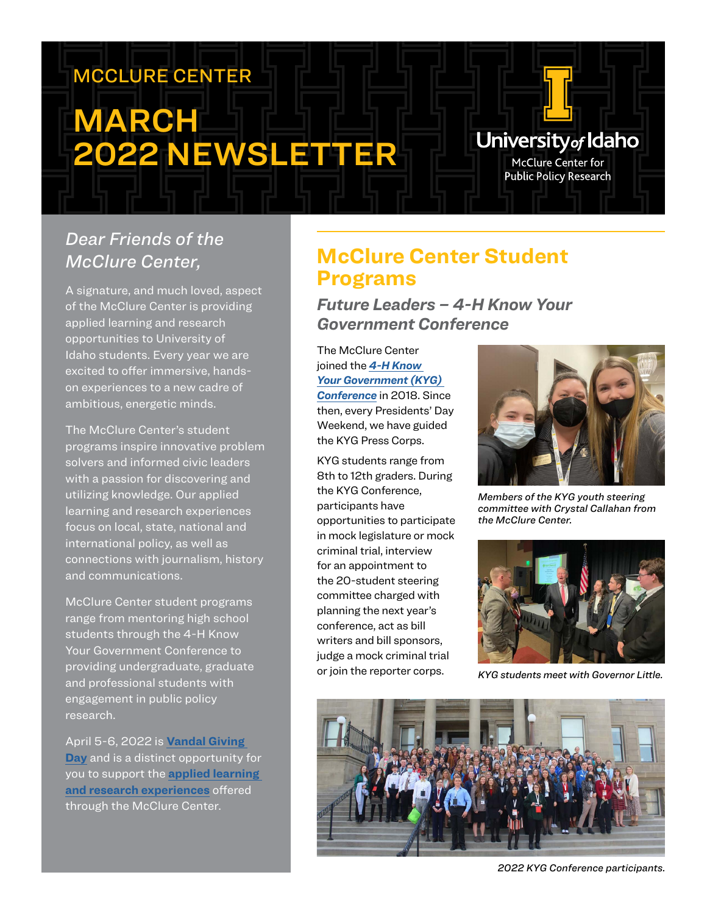# MCCLURE CENTER

# **MARCH** 2022 NEWSLETTER

#### *Dear Friends of the McClure Center,*

A signature, and much loved, aspect of the McClure Center is providing applied learning and research opportunities to University of Idaho students. Every year we are excited to offer immersive, handson experiences to a new cadre of ambitious, energetic minds.

The McClure Center's student programs inspire innovative problem solvers and informed civic leaders with a passion for discovering and utilizing knowledge. Our applied learning and research experiences focus on local, state, national and international policy, as well as connections with journalism, history and communications.

McClure Center student programs range from mentoring high school students through the 4-H Know Your Government Conference to providing undergraduate, graduate and professional students with engagement in public policy research.

April 5-6, 2022 is **[Vandal Giving](https://vandalsgive.uidaho.edu/)  [Day](https://vandalsgive.uidaho.edu/)** and is a distinct opportunity for you to support the **[applied learning](https://www.uidaho.edu/president/direct-reports/mcclure-center/students)  [and research experiences](https://www.uidaho.edu/president/direct-reports/mcclure-center/students)** offered through the McClure Center.

### **McClure Center Student Programs**

*Future Leaders – 4-H Know Your Government Conference* 

The McClure Center joined the *[4-H Know](https://www.uidaho.edu/extension/4h/events/know-your-government)  [Your Government \(KYG\)](https://www.uidaho.edu/extension/4h/events/know-your-government)  [Conference](https://www.uidaho.edu/extension/4h/events/know-your-government)* in 2018. Since then, every Presidents' Day

Weekend, we have guided the KYG Press Corps.

KYG students range from 8th to 12th graders. During the KYG Conference, participants have opportunities to participate in mock legislature or mock criminal trial, interview for an appointment to the 20-student steering committee charged with planning the next year's conference, act as bill writers and bill sponsors, judge a mock criminal trial or join the reporter corps.



University<sub>of</sub> Idaho McClure Center for **Public Policy Research** 

*Members of the KYG youth steering committee with Crystal Callahan from the McClure Center.*



*KYG students meet with Governor Little.*



*2022 KYG Conference participants.*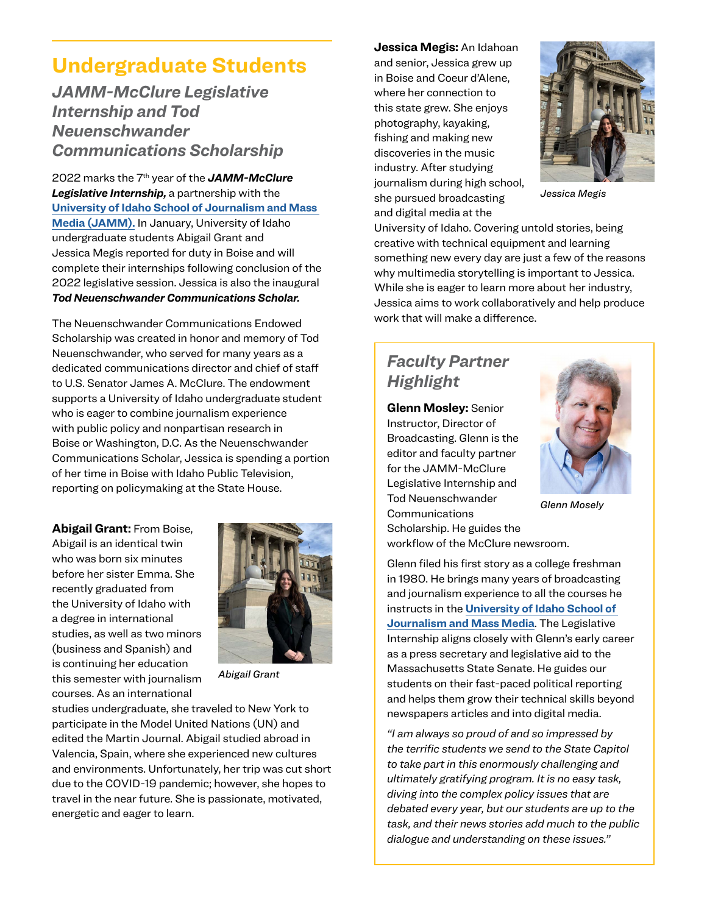### **Undergraduate Students**

*JAMM-McClure Legislative Internship and Tod Neuenschwander Communications Scholarship* 

2022 marks the 7th year of the *JAMM-McClure Legislative Internship,* a partnership with the **[University of Idaho School of Journalism and Mass](https://www.uidaho.edu/class/jamm)  [Media \(JAMM\).](https://www.uidaho.edu/class/jamm)** In January, University of Idaho undergraduate students Abigail Grant and Jessica Megis reported for duty in Boise and will complete their internships following conclusion of the 2022 legislative session. Jessica is also the inaugural *Tod Neuenschwander Communications Scholar.*

The Neuenschwander Communications Endowed Scholarship was created in honor and memory of Tod Neuenschwander, who served for many years as a dedicated communications director and chief of staff to U.S. Senator James A. McClure. The endowment supports a University of Idaho undergraduate student who is eager to combine journalism experience with public policy and nonpartisan research in Boise or Washington, D.C. As the Neuenschwander Communications Scholar, Jessica is spending a portion of her time in Boise with Idaho Public Television, reporting on policymaking at the State House.

**Abigail Grant:** From Boise, Abigail is an identical twin who was born six minutes before her sister Emma. She recently graduated from the University of Idaho with a degree in international studies, as well as two minors (business and Spanish) and is continuing her education this semester with journalism courses. As an international



*Abigail Grant*

studies undergraduate, she traveled to New York to participate in the Model United Nations (UN) and edited the Martin Journal. Abigail studied abroad in Valencia, Spain, where she experienced new cultures and environments. Unfortunately, her trip was cut short due to the COVID-19 pandemic; however, she hopes to travel in the near future. She is passionate, motivated, energetic and eager to learn.

**Jessica Megis:** An Idahoan and senior, Jessica grew up in Boise and Coeur d'Alene, where her connection to this state grew. She enjoys photography, kayaking, fishing and making new discoveries in the music industry. After studying journalism during high school, she pursued broadcasting and digital media at the



*Jessica Megis*

University of Idaho. Covering untold stories, being creative with technical equipment and learning something new every day are just a few of the reasons why multimedia storytelling is important to Jessica. While she is eager to learn more about her industry, Jessica aims to work collaboratively and help produce work that will make a difference.

#### *Faculty Partner Highlight*

**Glenn Mosley:** Senior Instructor, Director of Broadcasting. Glenn is the editor and faculty partner for the JAMM-McClure Legislative Internship and Tod Neuenschwander Communications



*Glenn Mosely*

Scholarship. He guides the workflow of the McClure newsroom.

Glenn filed his first story as a college freshman in 1980. He brings many years of broadcasting and journalism experience to all the courses he instructs in the **[University of Idaho School of](https://www.uidaho.edu/class/jamm)  [Journalism and Mass Media](https://www.uidaho.edu/class/jamm)**. The Legislative Internship aligns closely with Glenn's early career as a press secretary and legislative aid to the Massachusetts State Senate. He guides our students on their fast-paced political reporting and helps them grow their technical skills beyond newspapers articles and into digital media.

*"I am always so proud of and so impressed by the terrific students we send to the State Capitol to take part in this enormously challenging and ultimately gratifying program. It is no easy task, diving into the complex policy issues that are debated every year, but our students are up to the task, and their news stories add much to the public dialogue and understanding on these issues."*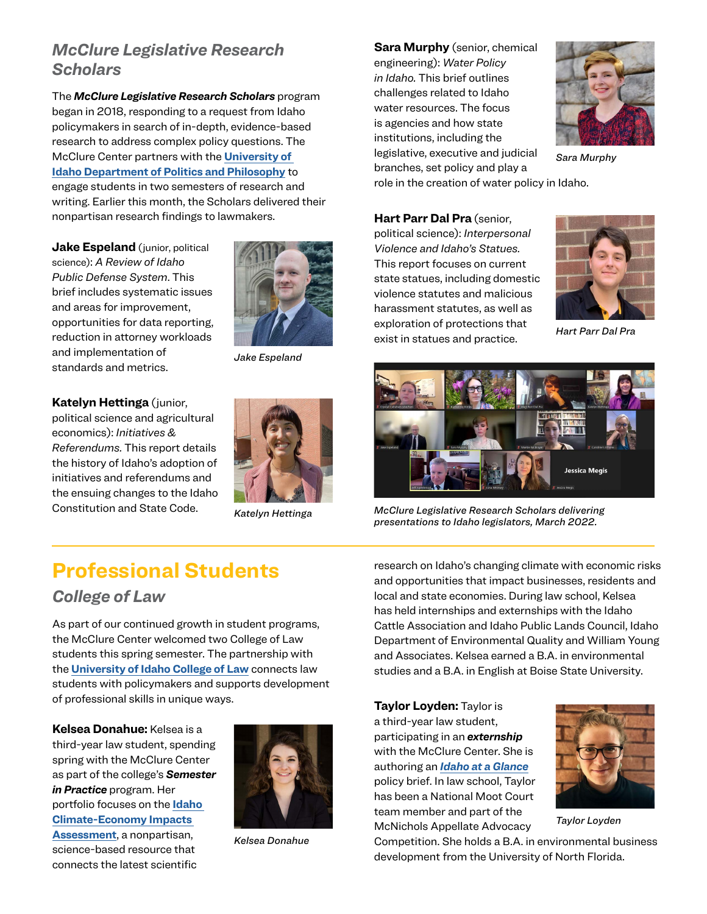#### *McClure Legislative Research Scholars*

The *McClure Legislative Research Scholars* program began in 2018, responding to a request from Idaho policymakers in search of in-depth, evidence-based research to address complex policy questions. The McClure Center partners with the **[University of](https://www.uidaho.edu/class/politics-and-philosophy)  [Idaho Department of Politics and Philosophy](https://www.uidaho.edu/class/politics-and-philosophy)** to engage students in two semesters of research and writing. Earlier this month, the Scholars delivered their nonpartisan research findings to lawmakers.

**Jake Espeland** (junior, political science): *A Review of Idaho Public Defense System*. This brief includes systematic issues and areas for improvement, opportunities for data reporting, reduction in attorney workloads and implementation of standards and metrics.



*Jake Espeland*

**Katelyn Hettinga** (junior, political science and agricultural economics): *Initiatives & Referendums.* This report details the history of Idaho's adoption of initiatives and referendums and the ensuing changes to the Idaho Constitution and State Code.



*Katelyn Hettinga*

**Sara Murphy** (senior, chemical engineering): *Water Policy in Idaho.* This brief outlines challenges related to Idaho water resources. The focus is agencies and how state institutions, including the legislative, executive and judicial branches, set policy and play a



*Sara Murphy*

role in the creation of water policy in Idaho.

**Hart Parr Dal Pra** (senior, political science): *Interpersonal Violence and Idaho's Statues.* This report focuses on current state statues, including domestic violence statutes and malicious harassment statutes, as well as exploration of protections that exist in statues and practice.



*Hart Parr Dal Pra*



*McClure Legislative Research Scholars delivering presentations to Idaho legislators, March 2022.*

## **Professional Students**

#### *College of Law*

As part of our continued growth in student programs, the McClure Center welcomed two College of Law students this spring semester. The partnership with the **[University of Idaho College of Law](https://www.uidaho.edu/law)** connects law students with policymakers and supports development of professional skills in unique ways.

**Kelsea Donahue:** Kelsea is a third-year law student, spending spring with the McClure Center as part of the college's *Semester in Practice* program. Her portfolio focuses on the **[Idaho](https://www.uidaho.edu/president/direct-reports/mcclure-center/iceia/key-findings)  [Climate-Economy Impacts](https://www.uidaho.edu/president/direct-reports/mcclure-center/iceia/key-findings)  [Assessment](https://www.uidaho.edu/president/direct-reports/mcclure-center/iceia/key-findings)**, a nonpartisan, science-based resource that connects the latest scientific



*Kelsea Donahue*

research on Idaho's changing climate with economic risks and opportunities that impact businesses, residents and local and state economies. During law school, Kelsea has held internships and externships with the Idaho Cattle Association and Idaho Public Lands Council, Idaho Department of Environmental Quality and William Young and Associates. Kelsea earned a B.A. in environmental studies and a B.A. in English at Boise State University.

**Taylor Loyden:** Taylor is a third-year law student, participating in an *externship* with the McClure Center. She is authoring an *[Idaho at a Glance](https://www.uidaho.edu/president/direct-reports/mcclure-center/publications/idaho-at-a-glance)* policy brief. In law school, Taylor has been a National Moot Court team member and part of the McNichols Appellate Advocacy



*Taylor Loyden*

Competition. She holds a B.A. in environmental business development from the University of North Florida.